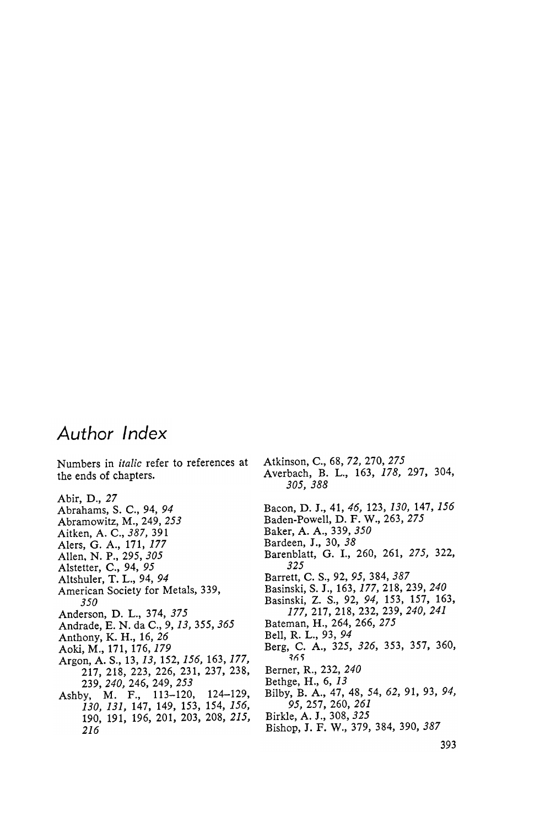## Author Index

Numbers in italic refer to references at the ends of chapters.

Abir, D., 27<br>Abrahams, S. C., 94, 94  $\ldots$  $A \sim 24.444$ Aitken, A. C., 387, 391 Alers, G. A., 171, 177 Allen . N . P . , 295 , 305 Als tetter , C . , 94 , 95 Altshuler, T. L., 94, 94 American Society for Metals, 339, 350 Anderson, D. L., 374, 375 Andrade, E. N. da C., 9, 13, 355, 365 Anthony, K. H., 16, 26 Aoki, M., 171, 176, *179*<br>Argon, A. S., 13, *13*, 152, *156*, 163, *177*, Argon , A . S . , 13 , 13 , 152 , 156 , 163 , 177 , 22. 22. 237 , 238 , 237 , 237 , 238 , 239 , 237 , 238 , 237 , 237 , 238 , 238 , 238 , 238 , 238 , 238 , 238 , 239, 240, 246, 249, 253<br>Ashby, M. F., 113-120, ashbur , 113 - 120 , 120 , 120 , 120 , 120 , 120 , 120 , 120 , 120 , 120 , 120 , 120 , 120 , 120 , 120 , 120 , 130 , 131 , 132 , 133 , 134 , 135 , 136 , 137 , 138 , 139 , 139 , 139 , 139 , 139 , 139 , 139 , 139 , 139 , 13 190, 191, 196, 201, 203, 208, 215, 216

Bacon, D. J., 41, 46, 123, 130, 147, 156 Baden-Powell, D. F. W., 263, 275 Baker, A. A., 339, 350 Bardeen, J., 30, 38 Barenblatt, G. I., 260, 261, 275, 322, 325 Barrett, C. S., 92, 95, 384, 387 Basinski, S. J., 163, 177, 218, 239, 240 Basinski, Z. S., 92, 94, 153, 157, 163, 177, 217, 218, 232, 239, 240, 241 Bateman, H., 264, 266, 275 Bell, R. L., 93, 94 Berg, C. A., 325, 326, 353, 357, 360, Berner, R., 232, 240 Bethge, H., 6, 13 Bilby, B. A., 47, 48, 54, 62, 91, 93, 94, 95, 257, 260, 261 Birkle, A. J., 308, 325 Bishop, J. F. W., 379, 384, 390, 387

Atkinson, C., 68, 72, 270, 275

305, 388

Averbach, B. L., 163, 178, 297, 304,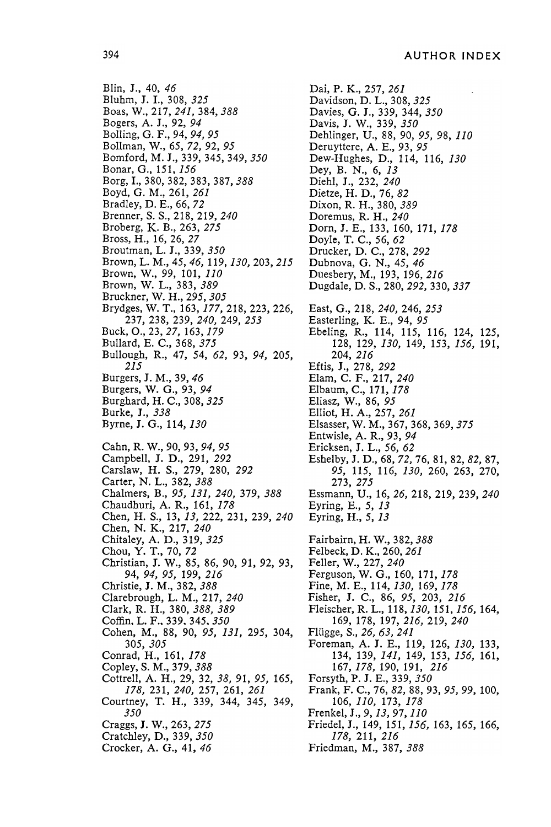Blin, J., 40, 46 Bluhm, J. I., 308, 325 Boas, W., 217, 241, 384, 388 Bogers, A. J., 92, 94 Bolling, G. F., 94, 94, 95 Bollman, W., 65, 72, 92, 95 Bomford, M. J., 339, 345, 349, 350 Bonar, G., 151, 156 Borg, I., 380, 382, 383, 387, 388 Boyd, G. M., 261, 261 Bradley, D. E., 66, 72 Brenner, S. S., 218, 219, 240 Broberg, K. B., 263, 275 Bross, H., 16, 26, 27 Broutman, L. J., 339, 350 Brown, L. M., 45, 46, 119, 130, 203, 215 Brown, W., 99, 101, 110 Brown, W. L., 383, 389 Bruckner, W. H., 295, 305 Brydges, W. T., 163, 177, 218, 223, 226, 237, 238, 239, 240, 249, 253 Buck, O., 23, 27, 163, 179 Bullard, E. C., 368, 375 Bullough, R., 47, 54, 62, 93, 94, 205, 215 Burgers, J. M., 39, 46 Burgers, W. G., 93, 94 Burghard, H. C., 308, 325 Burke, J., 338 Byrne, J. G., 114, 130 Cahn, R. W., 90, 93, 94, 95 Campbell, J. D., 291, 292 Carslaw, H. S., 279, 280, 292 Carter, N. L., 382, 388 Chalmers, B., 95, 131, 240, 379, 388 Chaudhuri, A. R., 161, 178 Chen, H. S., 13, 13, 222, 231, 239, 240 Chen, N. K., 217, 240 Chitaley, A. D., 319, 325 Chou, Y. T., 70, 72 Christian, J. W., 85, 86, 90, 91, 92, 93, 94, 94, 95, 199, 216 Christie, J. M., 382, 388 Clarebrough, L. M., 217, 240 Clark, R. H., 380, 388, 389 Coffin, L. F., 339, 345, 350 Cohen, M., 88, 90, 95, 131, 295, 304, 305 , 305 Conrad, H., 161, 178 Copley, S. M., 379, 388 Cottrell, A. H., 29, 32, 38, 91, 95, 165, 178, 231, 240, 257, 261, 261 Courtney, T. H., 339, 344, 345, 349, 350 Craggs, J. W., 263, 275 Cratchley, D., 339, 350 Crocker, A. G., 41, 46

Dai, P. K., 257, 261 Davidson, D. L., 308, 325 Davies, G. J., 339, 344, 350 Davis, J. W., 339, 350 Dehlinger, U., 88, 90, 95, 98, 110 Deruyttere, A. E., 93, 95 Dew-Hughes, D., 114, 116, 130 Dey, B. N., 6, 13 Diehl, J., 232, 240 Dietze, H. D., 76, 82 Dixon, R. H., 380, 389 Doremus, R. H., 240 Dorn, J. E., 133, 160, 171, 178 Doyle, T. C., 56, 62 Drucker, D. C., 278, 292 Dubnova, G. N., 45, 46 Duesbery, M., 193, 196, 216 Dugdale, D. S., 280, 292, 330, 337 East, G., 218, 240, 246, 253 Easterling, K. E., 94, 95 Ebeling, R., 114, 115, 116, 124, 125, 128, 129, 130, 149, 153, 156, 191, 204, 216 Eftis, J., 278, 292 Elam, C. F., 217, 240 Elbaum, C., 171, 178 Eliasz, W., 86, 95 Elliot, H. A., 257, 261 Elsasser, W. M., 367, 368, 369, 375 Entwisle, A. R., 93, 94 Ericksen, J. L., 56, 62 Eshelby, J. D., 68, 72, 76, 81, 82, 82, 87, 95, 115, 116, 130, 260, 263, 270, 273 , 275 Essmann, U., 16, 26, 218, 219, 239, 240 Eyring, E., 5, 13 Eyring, H., 5, 13 Fairbairn, H. W., 382, 388 Felbeck, D. K., 260, 261 Feller, W., 227, 240 Ferguson, W. G., 160, 171, 178 Fine, M. E., 114, 130, 169, 178 Fisher, J. C., 86, 95, 203, 216 Fleischer, R. L., 118, 130, 151, 156, 164, 169, 178, 197, 216, 219, 240 Flügge, S., 26, 63, 241 Foreman, A. J. E., 119, 126, 130, 133, 154, 15*7, 171,* 177, 153, 156, 161, 107, 170, 170, 171, 21 Forsyth, P. J. E., 339, 350 Frank, F. C., 76, 82, 88, 93, 95, 99, 100, 106, *110*, 173, *178* Frenkel, J., 9, 13, 97, 110 Friedel, J., 149, 151, 156, 163, 165, 166, 178, 211, 216 Friedman, M., 387, 388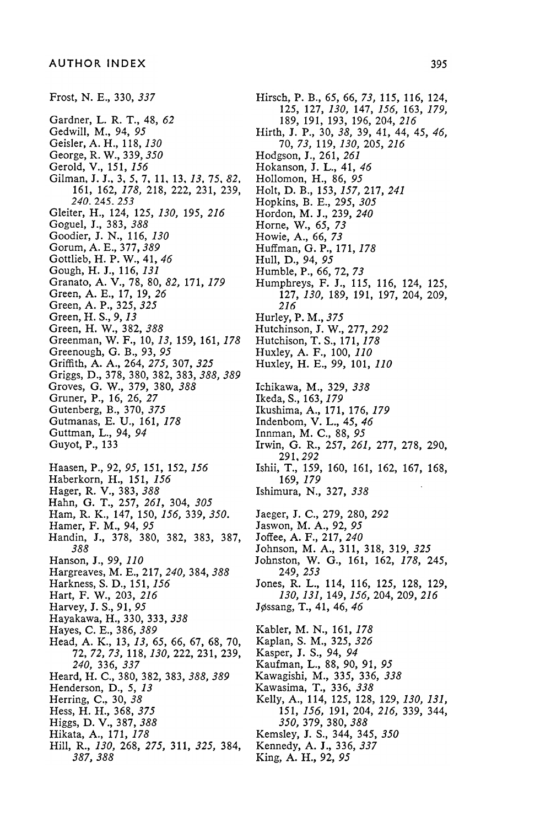Gardner, L. R. T., 48, 62 Gedwill, M., 94, 95 Geisler, A. H., 118, 130 George, R. W., 339, 350 Gerold, V., 151, 156 Gilman, J. J., 3, 5, 7, 11, 13, 13, 75, 82, 161, 162, 178, 218, 222, 231, 239, 240. 245. 253 Gleiter, H., 124, 125, 130, 195, 216 Goguel, J., 383, 388 Goodier, J. N., 116, 130 Gorum, A. E., 377, 389 Gottlieb, H. P. W., 41, 46 Gough, H. J., 116, 131 Granato, A. V., 78, 80, 82, 171, 179 Green, A. E., 17, 19, 26 Green, A. P., 325, 325 Green, H. S., 9, 13 Green, H. W., 382, 388 Greenman, W. F., 10, 13, 159, 161, 178 Greenough, G. B., 93, 95 Griffith, A. A., 264, 275, 307, 325 Griggs, D., 378, 380, 382, 383, 388, 389 Groves, G. W., 379, 380, 388 Gruner, P., 16, 26, 27 Gutenberg, B., 370, 375 Gutmanas, E. U., 161, 178 Guttman, L., 94, 94 Guyot, P., 133 Haasen, P., 92, 95, 151, 152, 156 Haberkorn, H., 151, 156 Hager, R. V., 383, 388 Hahn, G. T., 257, 261, 304, 305 Ham, R. K., 147, 150, 156, 339, 350. Hamer, F. M., 94, 95 Handin, J., 378, 380, 382, 383, 387, 388 Hanson, J., 99, 110 Hargreaves, M. E., 217, 240, 384, 388 Harkness, S. D., 151, 156 Hart, F. W., 203, 216 Harvey, J. S., 91, 95 Hayakawa, H., 330, 333, 338 Hayes, C. E., 386, 389 Head, A. K., 13, 13, 65, 66, 67, 68, 70, 72, 72, 73, 118, 130, 222, 231, 239, 240, 336, 337 Heard, H. C., 380, 382, 383, 388, 389 Henderson, D., 5, 13 Herring, C., 30, 38 Hess, H. H., 368, 37. Higgs, D. V., 387, 388 Hikata, A., 171, 178 Hill, R., 130, 268, 275, 311, 325, 384, 387 , 388

Frost, N. E., 330, 337 Hirsch, P. B., 65, 66, 73, 115, 116, 124, 125, 127, 130, 147, 156, 163, 179, 189, 191, 193, 196, 204, 216 Hirth, J. P., 30, 38, 39, 41, 44, 45, 46, 70, 73, 119, 130, 205, 216 Hodgson, J., 261, 261 Hokanson, J. L., 41, 46 Hollomon, H., 86, 95 Holt, D. B., 153, 157, 217, 241 Hopkins, B. E., 295, 305 Hordon, M. J., 239, 240 Horne, W., 65, 73 Howie, A., 66, 73 Huffman, G. P., 171, 178 Hull, D., 94, 95 Humble, P., 66, 72, 73 Humphreys, F. J., 115, 116, 124, 125, 127, 130, 189, 191, 197, 204, 209, 216 Hurley, P. M., 375 Hutchinson, J. W., 277, 292 Hutchison, T. S., 171, 178 Huxley, A. F., 100, 110 Huxley, H. E., 99, 101, 110 Ichikawa, M., 329, 338 Ikeda, S., 163, 179 Ikushima, A., 171, 176, 179 Indenbom, V. L., 45, 46 Innman, M. C., 88, 95 Irwin, G. R., 257, 261, 277, 278, 290, 291 . 292 Ishii, T., 159, 160, 161, 162, 167, 168, 169, 179 Ishimura, N., 327, 338 Jaeger, J. C., 279, 280, 292 Jaswon, M. A., 92, 95 Joffee, A. F., 217, 240 Johnson, M. A., 311, 318, 319, 325 Johnston, W. G., 161, 162, 178, 245, 249, 253 Jones, R. L., 114, 116, 125, 128, 129, 130, 131, 149, 156, 204, 209, 216 Jøssang, T., 41, 46, 46 Kabler, M. N., 161, 178 Kaplan, S. M., 325, 326 Kasper, J. S., 94, 94 Kaufman, L., 88, 90, 91, 95 Kawagishi, M., 335, 336, 338 Kawasima, T., 336, 338 Kelly, A., 114, 125, 128, 129, 130, 131, 151, *15*0, 191, 204, 210, 339, 344, ,3*30, 319, 3*80, 38 Kemsley, J. S., 344, 345, 350 Kennedy, A. J., 336, 337

King, A. H., 92, 95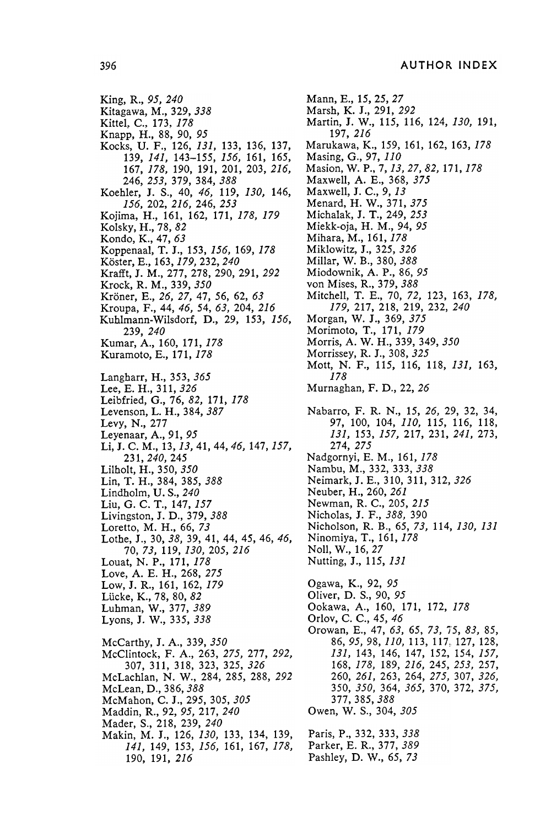King, R., 95, 240 Kitagawa, M., 329, 338 Kittel. C., 173, 178 Knapp, H., 88, 90, 95 Kocks, U. F., 126, 131, 133, 136, 137, 139, 141, 143-155, 156, 161, 165, 167, 178, 190, 191, 201, 203, 216, 246 , 253 , 379 , 384 , 388 Koehler, J. S., 40, 46, 119, 130, 146, 156 , 202 , 216 , 246 , 253 Kojima, H., 161, 162, 171, 178, 179 Kolsky, H., 78, 82 Kondo, K., 47, 63 Koppenaal, T. J., 153, 156, 169, 178 Köster, E., 163, 179, 232, 240 Krafft, J. M., 277, 278, 290, 291, 292 Krock, R. M., 339, 350 Kröner, E., 26, 27, 47, 56, 62, 63 Kroupa, F., 44, 46, 54, 63, 204, 216 Kuhlmann-Wilsdorf, D., 29, 153, 156, 239, 240 Kumar, A., 160, 171, 178 Kuramoto, E., 171, 178 Langharr, H., 353, 365 Lee, E. H., 311, 326 Leibfried, G., 76, 82, 171, 178 Levenson, L. H., 384, 387 Levy, N., 277 Leyenaar, A., 91, 95 Li, J. C. M., 13, 13, 41, 44, 46, 147, 157, 231, 240, 245 Lilholt, H., 350, 350 Lin, T. H., 384, 385, 388 Lindholm, U.S., 240 Liu, G. C. T., 147, 157 Livingston, J. D., 379, 388 Loretto, M. H., 66, 73 Lothe, J., 30, 38, 39, 41, 44, 45, 46, 46, 70, 73, 119, 130, 205, 216 Louat, N. P., 171, 178 Love, A. E. H., 268, 275 Low, J. R., 161, 162, 179 Lücke, K., 78, 80, 82 Luhman, W., 377, 389 Lyons, J. W., 335, 338 McCarthy, J. A., 339, 350 McClintock, F. A., 263, 275, 277, 292, 307 , 311 , 318 , 323 , 325 , 326 McLachlan, N. W., 284, 285, 288, 292 McLean, D., 386, 388 McMahon, C. J., 295, 305, 305 Maddin, R., 92, 95, 217, 240 Mader, S., 218, 239, 240 Makin, M. J., 126, 130, 133, 134, 139, 141, 149, 153, 156, 161, 167, 178, 190, 191, 216

Nabarro, F. R. N., 15, 26, 29, 32, 34, 97, 100, 104, 110, 115, 116, 118, 131, 153, 157, 217, 231, 241, 273, 274, 275 Nadgornyi, E. M., 161, 178 Nambu, M., 332, 333, 338 Neimark, J. E., 310, 311, 312, 326 Neuber, H., 260, 261 Newman, R. C., 205, 215 Nicholas, J. F., 388, 390 Nicholson, R. B., 65, 73, 114, 130, 131 Ninomiya, T., 161, 178 Noll, W., 16, 27 Nutting, J., 115, 131 Ookawa, A., 160, 171, 172, 178 Orowan, E., 47, 63, 65, 73, 75, 83, 85, 86, 95, 98, 110, 113, 117, 127, 128, 131, 143, 146, 147, 152, 154, 157, 168, *178*, 189, 216, 245, 253, 257, 260, *261*, 263, 264, *275,* 307, *326*, 350, *350,* 364, *365,* 370, 372, *375*, Mann, E., 15, 25, 27 Marsh, K. J., 291, 292 Martin, J. W., 115, 116, 124, 130, 191, 197, 216 Marukawa, K., 159, 161, 162, 163, 178 Masing, G., 97, 110 Masion, W. P., 7, 13, 27, 82, 171, 178 Maxwell, A. E., 368, 375 Maxwell, J. C., 9, 13 Menard, H. W., 371, 375 Michalak, J. T., 249, 253 Miekk-oja, H. M., 94, 95 Mihara, M., 161, 178 Miklowitz, J., 325, 326 Millar, W. B., 380, 388 Miodownik, A. P., 86, 95 von Mises, R., 379, 388 Mitchell, T. E., 70, 72, 123, 163, 178, 179, 217, 218, 219, 232, 240 Morgan, W. J., 369, 375 Morimoto, T., 171, 179 Morris, A. W. H., 339, 349, 350 Morrissey, R. J., 308, 325 Mott, N. F., 115, 116, 118, 131, 163, 178 Murnaghan, F. D., 22, 26 Ogawa, K., 92, 95 Oliver, D. S., 90, 95 Orlov, C. C., 45, 46 377, 385, 388 Owen, W. S., 304, 305 Paris, P., 332, 333, 338 Parker, E. R., 377, 389 Pashley, D. W., 65, 73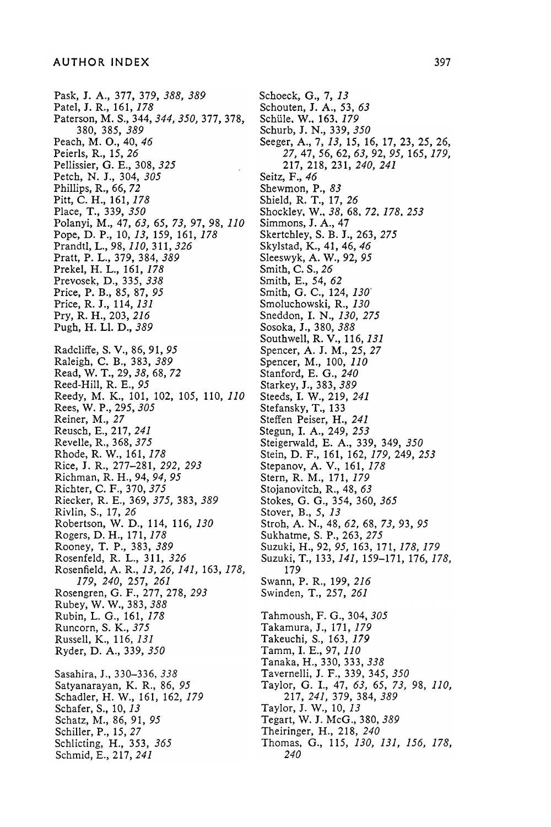Pask, J. A., 377, 379, 388, 389 Patel, J. R., 161, 178 Paterson, M. S., 344, 344, 350, 377, 378, 380, 385, 389 Peach, M. O., 40, 46 Peierls, R., 15, 26 Pellissier, G. E., 308, 325 Petch, N. J., 304, 305 Phillips, R., 66, 72 Pitt, C. H., 161, 178 Place, T., 339, 350 Polanyi, M., 47, 63, 65, 73, 97, 98, 110 Pope, D. P., 10, 13, 159, 161, 178 Prandtl, L., 98, 110, 311, 326 Pratt, P. L., 379, 384, 389 Prekel, H. L., 161, *17*6 Prevosek, D., 335, 336 Price, P. B., 85, 87, 95 Price, R. J., 114, 131 Pry, R. H., 203, 216 Pugh, H. Ll. D., 389 Radcliffe, S. V., 86, 91, 95 Raleigh, C. B., 383, 389 Read, W. T., 29, 38, 68, 72 Reed-Hill, R. E., 95 Reedy, M. K., 101, 102, 105, 110, 110 Rees, W. P., 295, 305 Reiner, M., 27 Reusch, E., 217, 241 Revelle, R., 368, 375 Rhode, R. W., 161, 178 Rice, J. R., 277-281, 292, 293 Richman, R. H., 94, 94, 95 Richter, C. F., 370, 375 Riecker, R. E., 369, 375, 383, 389 Rivlin, S., 17, 26 Robertson, W. D., 114, 116, 130 Rogers, D. H., 171, 178 Rooney, T. P., 383, 389 Rosenfeld, R. L., 311, 326 Rosenfield, A. R., 13, 26, 141, 163, 178, 179 , 240 , 257 , 261 Rosengren, G. F., 277, 278, 293 Rubey, W. W., 383, 388 Rubin, L. G., 161, 178 Runcorn, S. K., 375 Russell, K., 116, 131 Ryder, D. A., 339, 350 Sasahira, J., 330-336, 338 Satyanarayan, K. R., 86, 95 Schadler, H. W., 161, 162, 179 Schafer, S., 10, 13 Schatz, M., 86, 91, 95 Schiller, P., 15, 27 Schlicting, H., 353, 365 Schmid, E., 217, 241

Schoeck, G., 7, 13 Schouten, J. A., 53, 63 Schüle, W., 163, 179 Schurb, J. N., 339, 350 Seeger, A., 7, 13, 15, 16, 17, 23, 25, 26, 27, 47, 56, 62, 63, 92, 95, 165, 179, 217, 218, 231, 240, 241 Seitz, F., 46 Shewmon, P., 83 Shield, R. T., 17, 26 Shockley, W., 38, 68, 72, 178, 253 Simmons, J. A., 47 Skertchley, S. B. J., 263, 275 Skylstad, K., 41, 46, 46 Sleeswyk, A. W., 92, 95 Smith, C. S., 26 Smith, E., 54, 62 Smith, G. C., 124, 130 Smoluchowski, R., 130 Sneddon, I. N., 130, 275 Sosoka, J., 380, 388 Southwell, R. V., 116, 131 Spencer, A. J. M., 25, 27 Spencer, M., 100, 110 Stanford, E. G., 240 Starkey, J., 383, 389 Steeds, I. W., 219, 241 Stefansky, T., 133 Steffen Peiser, H., 241 Stegun, I. A., 249, 253 Steigerwald, E. A., 339, 349, 350 Stein, D. F., 161, 162, 179, 249, 253 Stepanov, A. V., 161, 178 Stern, R. M., 171, 179 Stojanovitch, R., 48, 63 Stokes, G. G., 354, 360, 365 Stover, B., 5, 13 Stroh, A. N., 48, 62, 68, 73, 93, 95 Sukhatme, S. P., 263, 275 Suzuki, H., 92, 95, 163, 171, 178, 179 Suzuki, T., 133, 141, 159–171, 176, 178, 179 Swann, P. R., 199, 216 Swinden, T., 257, 261 Tahmoush, F. G., 304, 305 Takamura, J., 171, 179 Takeuchi, S., 163, 179 Tamm, I. E., 97, 110 Tanaka, H., 330, 333, 338 Tavernelli, J. F., 339, 345, 350 Taylor, G. I., 47, 63, 65, 73, 98, 110, 217, 241, 379, 384, 389 Taylor, J. W., 10, 13 Tegart, W. J. McG., 380, 389 Theiringer, H., 218, 240 Thomas, G., 115, 130, 131, 156, 178,

240